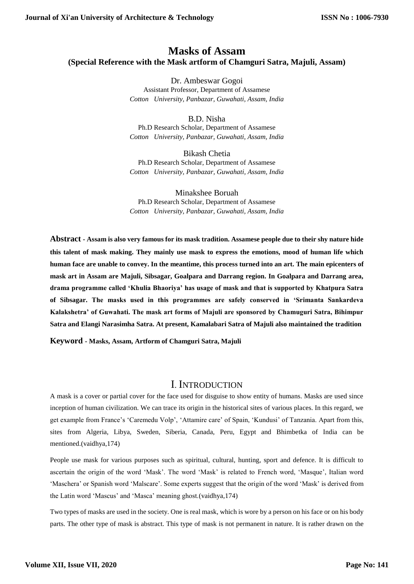### **Masks of Assam (Special Reference with the Mask artform of Chamguri Satra, Majuli, Assam)**

Dr. Ambeswar Gogoi Assistant Professor, Department of Assamese *Cotton University, Panbazar, Guwahati, Assam, India*

B.D. Nisha Ph.D Research Scholar, Department of Assamese *Cotton University, Panbazar, Guwahati, Assam, India*

Bikash Chetia Ph.D Research Scholar, Department of Assamese *Cotton University, Panbazar, Guwahati, Assam, India*

Minakshee Boruah Ph.D Research Scholar, Department of Assamese *Cotton University, Panbazar, Guwahati, Assam, India*

**Abstract - Assam is also very famous for its mask tradition. Assamese people due to their shy nature hide this talent of mask making. They mainly use mask to express the emotions, mood of human life which human face are unable to convey. In the meantime, this process turned into an art. The main epicenters of mask art in Assam are Majuli, Sibsagar, Goalpara and Darrang region. In Goalpara and Darrang area, drama programme called 'Khulia Bhaoriya' has usage of mask and that is supported by Khatpura Satra of Sibsagar. The masks used in this programmes are safely conserved in 'Srimanta Sankardeva Kalakshetra' of Guwahati. The mask art forms of Majuli are sponsored by Chamuguri Satra, Bihimpur Satra and Elangi Narasimha Satra. At present, Kamalabari Satra of Majuli also maintained the tradition**

**Keyword - Masks, Assam, Artform of Chamguri Satra, Majuli**

### I. INTRODUCTION

A mask is a cover or partial cover for the face used for disguise to show entity of humans. Masks are used since inception of human civilization. We can trace its origin in the historical sites of various places. In this regard, we get example from France's 'Caremedu Volp', 'Attamire care' of Spain, 'Kundusi' of Tanzania. Apart from this, sites from Algeria, Libya, Sweden, Siberia, Canada, Peru, Egypt and Bhimbetka of India can be mentioned.(vaidhya,174)

People use mask for various purposes such as spiritual, cultural, hunting, sport and defence. It is difficult to ascertain the origin of the word 'Mask'. The word 'Mask' is related to French word, 'Masque', Italian word 'Maschera' or Spanish word 'Malscare'. Some experts suggest that the origin of the word 'Mask' is derived from the Latin word 'Mascus' and 'Masca' meaning ghost.(vaidhya,174)

Two types of masks are used in the society. One is real mask, which is wore by a person on his face or on his body parts. The other type of mask is abstract. This type of mask is not permanent in nature. It is rather drawn on the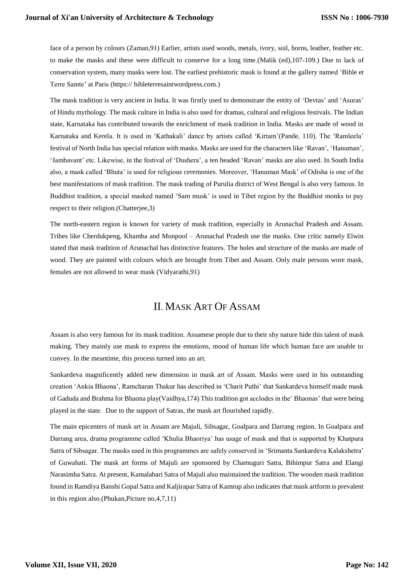face of a person by colours (Zaman,91) Earlier, artists used woods, metals, ivory, soil, horns, leather, feather etc. to make the masks and these were difficult to conserve for a long time.(Malik (ed),107-109.) Due to lack of conservation system, many masks were lost. The earliest prehistoric mask is found at the gallery named 'Bible et Terre Sainte' at Paris (https:// bibleterresaintwordpress.com.)

The mask tradition is very ancient in India. It was firstly used to demonstrate the entity of 'Devtas' and 'Asuras' of Hindu mythology. The mask culture in India is also used for dramas, cultural and religious festivals. The Indian state, Karnataka has contributed towards the enrichment of mask tradition in India. Masks are made of wood in Karnataka and Kerela. It is used in 'Kathakali' dance by artists called 'Kirtam'(Pande, 110). The 'Ramleela' festival of North India has special relation with masks. Masks are used for the characters like 'Ravan', 'Hanuman', 'Jambavant' etc. Likewise, in the festival of 'Dushera', a ten headed 'Ravan' masks are also used. In South India also, a mask called 'Bhuta' is used for religious ceremonies. Moreover, 'Hanuman Mask' of Odisha is one of the best manifestations of mask tradition. The mask trading of Purulia district of West Bengal is also very famous. In Buddhist tradition, a special masked named 'Sam musk' is used in Tibet region by the Buddhist monks to pay respect to their religion.(Chatterjee,3)

The north-eastern region is known for variety of mask tradition, especially in Arunachal Pradesh and Assam. Tribes like Cherdukpeng, Khamba and Monpool – Arunachal Pradesh use the masks. One critic namely Elwin stated that mask tradition of Arunachal has distinctive features. The holes and structure of the masks are made of wood. They are painted with colours which are brought from Tibet and Assam. Only male persons wore mask, females are not allowed to wear mask (Vidyarathi,91)

# II. MASK ART OF ASSAM

Assam is also very famous for its mask tradition. Assamese people due to their shy nature hide this talent of mask making. They mainly use mask to express the emotions, mood of human life which human face are unable to convey. In the meantime, this process turned into an art.

Sankardeva magnificently added new dimension in mask art of Assam. Masks were used in his outstanding creation 'Ankia Bhaona', Ramcharan Thakur has described in 'Charit Puthi' that Sankardeva himself made mask of Gaduda and Brahma for Bhaona play(Vaidhya,174) This tradition got acclodes in the' Bhaonas' that were being played in the state. Due to the support of Satras, the mask art flourished rapidly.

The main epicenters of mask art in Assam are Majuli, Sibsagar, Goalpara and Darrang region. In Goalpara and Darrang area, drama programme called 'Khulia Bhaoriya' has usage of mask and that is supported by Khatpura Satra of Sibsagar. The masks used in this programmes are safely conserved in 'Srimanta Sankardeva Kalakshetra' of Guwahati. The mask art forms of Majuli are sponsored by Chamuguri Satra, Bihimpur Satra and Elangi Narasimha Satra. At present, Kamalabari Satra of Majuli also maintained the tradition. The wooden mask tradition found in Ramdiya Banshi Gopal Satra and Kaljirapar Satra of Kamrup also indicates that mask artform is prevalent in this region also.(Phukan,Picture no,4,7,11)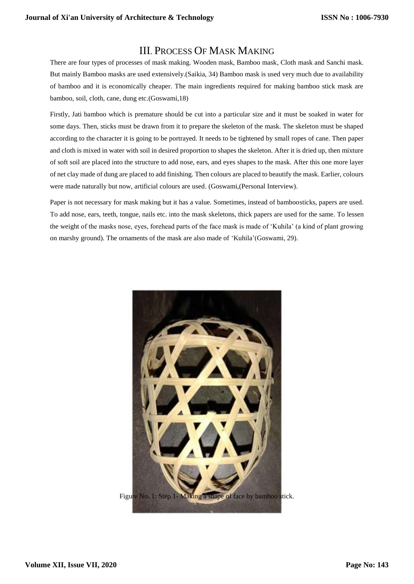# III. PROCESS OF MASK MAKING

There are four types of processes of mask making. Wooden mask, Bamboo mask, Cloth mask and Sanchi mask. But mainly Bamboo masks are used extensively.(Saikia, 34) Bamboo mask is used very much due to availability of bamboo and it is economically cheaper. The main ingredients required for making bamboo stick mask are bamboo, soil, cloth, cane, dung etc.(Goswami,18)

Firstly, Jati bamboo which is premature should be cut into a particular size and it must be soaked in water for some days. Then, sticks must be drawn from it to prepare the skeleton of the mask. The skeleton must be shaped according to the character it is going to be portrayed. It needs to be tightened by small ropes of cane. Then paper and cloth is mixed in water with soil in desired proportion to shapes the skeleton. After it is dried up, then mixture of soft soil are placed into the structure to add nose, ears, and eyes shapes to the mask. After this one more layer of net clay made of dung are placed to add finishing. Then colours are placed to beautify the mask. Earlier, colours were made naturally but now, artificial colours are used. (Goswami,(Personal Interview).

Paper is not necessary for mask making but it has a value. Sometimes, instead of bamboosticks, papers are used. To add nose, ears, teeth, tongue, nails etc. into the mask skeletons, thick papers are used for the same. To lessen the weight of the masks nose, eyes, forehead parts of the face mask is made of 'Kuhila' (a kind of plant growing on marshy ground). The ornaments of the mask are also made of 'Kuhila'(Goswami, 29).

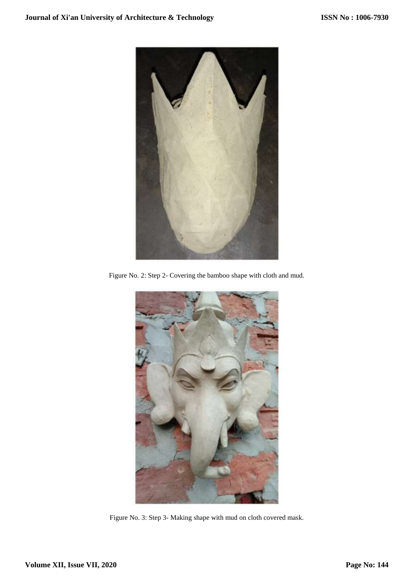

Figure No. 2: Step 2- Covering the bamboo shape with cloth and mud.



Figure No. 3: Step 3- Making shape with mud on cloth covered mask.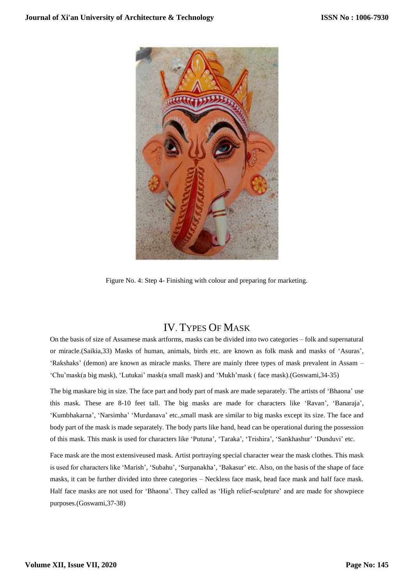

Figure No. 4: Step 4- Finishing with colour and preparing for marketing.

# IV. TYPES OF MASK

On the basis of size of Assamese mask artforms, masks can be divided into two categories – folk and supernatural or miracle.(Saikia,33) Masks of human, animals, birds etc. are known as folk mask and masks of 'Asuras', 'Rakshaks' (demon) are known as miracle masks. There are mainly three types of mask prevalent in Assam – 'Chu'mask(a big mask), 'Lutukai' mask(a small mask) and 'Mukh'mask ( face mask).(Goswami,34-35)

The big maskare big in size. The face part and body part of mask are made separately. The artists of 'Bhaona' use this mask. These are 8-10 feet tall. The big masks are made for characters like 'Ravan', 'Banaraja', 'Kumbhakarna', 'Narsimha' 'Murdanava' etc.,small mask are similar to big masks except its size. The face and body part of the mask is made separately. The body parts like hand, head can be operational during the possession of this mask. This mask is used for characters like 'Putuna', 'Taraka', 'Trishira', 'Sankhashur' 'Dunduvi' etc.

Face mask are the most extensiveused mask. Artist portraying special character wear the mask clothes. This mask is used for characters like 'Marish', 'Subahu', 'Surpanakha', 'Bakasur' etc. Also, on the basis of the shape of face masks, it can be further divided into three categories – Neckless face mask, head face mask and half face mask. Half face masks are not used for 'Bhaona'. They called as 'High relief-sculpture' and are made for showpiece purposes.(Goswami,37-38)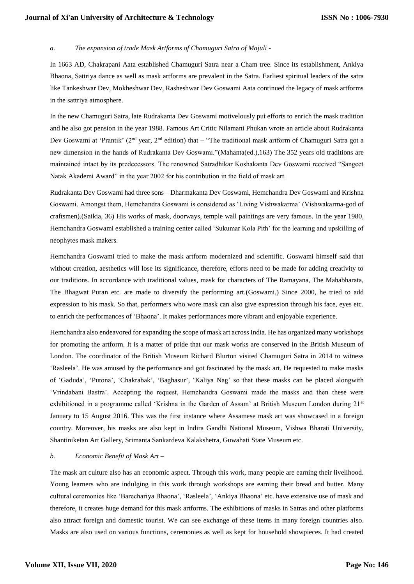#### *a. The expansion of trade Mask Artforms of Chamuguri Satra of Majuli -*

In 1663 AD, Chakrapani Aata established Chamuguri Satra near a Cham tree. Since its establishment, Ankiya Bhaona, Sattriya dance as well as mask artforms are prevalent in the Satra. Earliest spiritual leaders of the satra like Tankeshwar Dev, Mokheshwar Dev, Rasheshwar Dev Goswami Aata continued the legacy of mask artforms in the sattriya atmosphere.

In the new Chamuguri Satra, late Rudrakanta Dev Goswami motivelously put efforts to enrich the mask tradition and he also got pension in the year 1988. Famous Art Critic Nilamani Phukan wrote an article about Rudrakanta Dev Goswami at 'Prantik' (2nd year, 2nd edition) that – "The traditional mask artform of Chamuguri Satra got a new dimension in the hands of Rudrakanta Dev Goswami."(Mahanta(ed.),163) The 352 years old traditions are maintained intact by its predecessors. The renowned Satradhikar Koshakanta Dev Goswami received "Sangeet Natak Akademi Award" in the year 2002 for his contribution in the field of mask art.

Rudrakanta Dev Goswami had three sons – Dharmakanta Dev Goswami, Hemchandra Dev Goswami and Krishna Goswami. Amongst them, Hemchandra Goswami is considered as 'Living Vishwakarma' (Vishwakarma-god of craftsmen).(Saikia, 36) His works of mask, doorways, temple wall paintings are very famous. In the year 1980, Hemchandra Goswami established a training center called 'Sukumar Kola Pith' for the learning and upskilling of neophytes mask makers.

Hemchandra Goswami tried to make the mask artform modernized and scientific. Goswami himself said that without creation, aesthetics will lose its significance, therefore, efforts need to be made for adding creativity to our traditions. In accordance with traditional values, mask for characters of The Ramayana, The Mahabharata, The Bhagwat Puran etc. are made to diversify the performing art.(Goswami,) Since 2000, he tried to add expression to his mask. So that, performers who wore mask can also give expression through his face, eyes etc. to enrich the performances of 'Bhaona'. It makes performances more vibrant and enjoyable experience.

Hemchandra also endeavored for expanding the scope of mask art across India. He has organized many workshops for promoting the artform. It is a matter of pride that our mask works are conserved in the British Museum of London. The coordinator of the British Museum Richard Blurton visited Chamuguri Satra in 2014 to witness 'Rasleela'. He was amused by the performance and got fascinated by the mask art. He requested to make masks of 'Gaduda', 'Putona', 'Chakrabak', 'Baghasur', 'Kaliya Nag' so that these masks can be placed alongwith 'Vrindabani Bastra'. Accepting the request, Hemchandra Goswami made the masks and then these were exhibitioned in a programme called 'Krishna in the Garden of Assam' at British Museum London during 21<sup>st</sup> January to 15 August 2016. This was the first instance where Assamese mask art was showcased in a foreign country. Moreover, his masks are also kept in Indira Gandhi National Museum, Vishwa Bharati University, Shantiniketan Art Gallery, Srimanta Sankardeva Kalakshetra, Guwahati State Museum etc.

#### *b. Economic Benefit of Mask Art –*

The mask art culture also has an economic aspect. Through this work, many people are earning their livelihood. Young learners who are indulging in this work through workshops are earning their bread and butter. Many cultural ceremonies like 'Barechariya Bhaona', 'Rasleela', 'Ankiya Bhaona' etc. have extensive use of mask and therefore, it creates huge demand for this mask artforms. The exhibitions of masks in Satras and other platforms also attract foreign and domestic tourist. We can see exchange of these items in many foreign countries also. Masks are also used on various functions, ceremonies as well as kept for household showpieces. It had created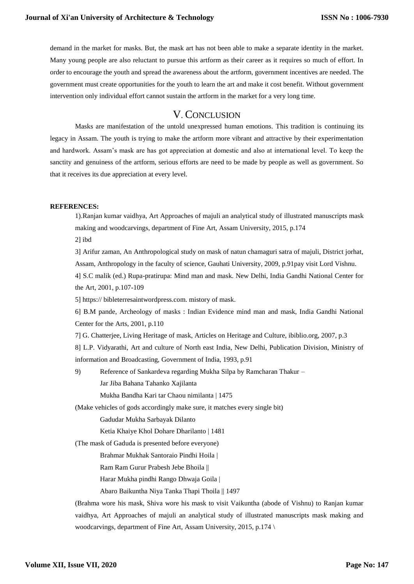demand in the market for masks. But, the mask art has not been able to make a separate identity in the market. Many young people are also reluctant to pursue this artform as their career as it requires so much of effort. In order to encourage the youth and spread the awareness about the artform, government incentives are needed. The government must create opportunities for the youth to learn the art and make it cost benefit. Without government intervention only individual effort cannot sustain the artform in the market for a very long time.

### V. CONCLUSION

Masks are manifestation of the untold unexpressed human emotions. This tradition is continuing its legacy in Assam. The youth is trying to make the artform more vibrant and attractive by their experimentation and hardwork. Assam's mask are has got appreciation at domestic and also at international level. To keep the sanctity and genuiness of the artform, serious efforts are need to be made by people as well as government. So that it receives its due appreciation at every level.

#### **REFERENCES:**

1).Ranjan kumar vaidhya, Art Approaches of majuli an analytical study of illustrated manuscripts mask making and woodcarvings, department of Fine Art, Assam University, 2015, p.174

2] ibd

3] Arifur zaman, An Anthropological study on mask of natun chamaguri satra of majuli, District jorhat, Assam, Anthropology in the faculty of science, Gauhati University, 2009, p.91pay visit Lord Vishnu.

4] S.C malik (ed.) Rupa-pratirupa: Mind man and mask. New Delhi, India Gandhi National Center for the Art, 2001, p.107-109

5] https:// bibleterresaintwordpress.com. mistory of mask.

6] B.M pande, Archeology of masks : Indian Evidence mind man and mask, India Gandhi National Center for the Arts, 2001, p.110

7] G. Chatterjee, Living Heritage of mask, Articles on Heritage and Culture, ibiblio.org, 2007, p.3

8] L.P. Vidyarathi, Art and culture of North east India, New Delhi, Publication Division, Ministry of information and Broadcasting, Government of India, 1993, p.91

9) Reference of Sankardeva regarding Mukha Silpa by Ramcharan Thakur – Jar Jiba Bahana Tahanko Xajilanta

Mukha Bandha Kari tar Chaou nimilanta | 1475

(Make vehicles of gods accordingly make sure, it matches every single bit)

Gadudar Mukha Sarbayak Dilanto

Ketia Khaiye Khol Dohare Dharilanto | 1481

(The mask of Gaduda is presented before everyone)

Brahmar Mukhak Santoraio Pindhi Hoila |

Ram Ram Gurur Prabesh Jebe Bhoila ||

Harar Mukha pindhi Rango Dhwaja Goila |

Abaro Baikuntha Niya Tanka Thapi Thoila || 1497

(Brahma wore his mask, Shiva wore his mask to visit Vaikuntha (abode of Vishnu) to Ranjan kumar vaidhya, Art Approaches of majuli an analytical study of illustrated manuscripts mask making and woodcarvings, department of Fine Art, Assam University, 2015, p.174 \